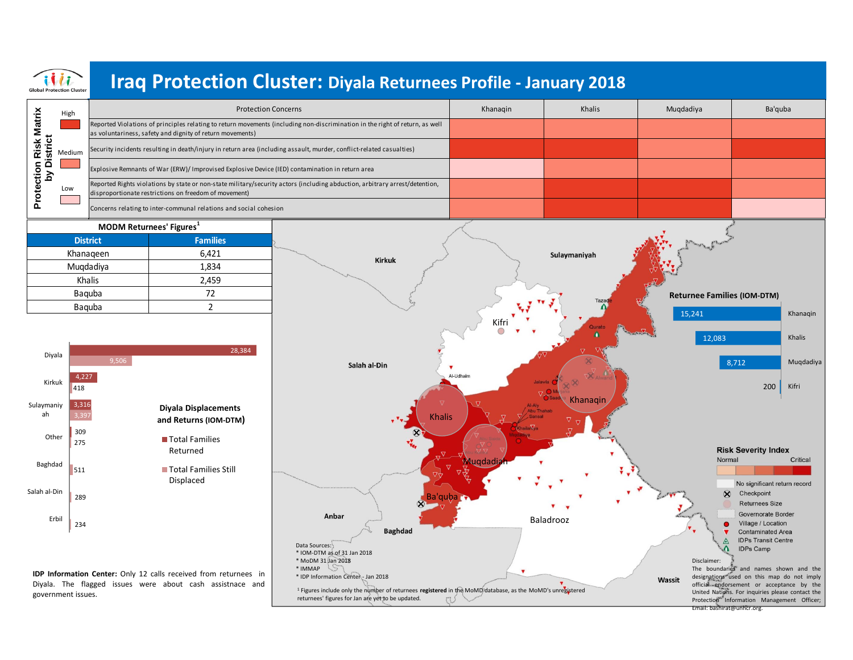